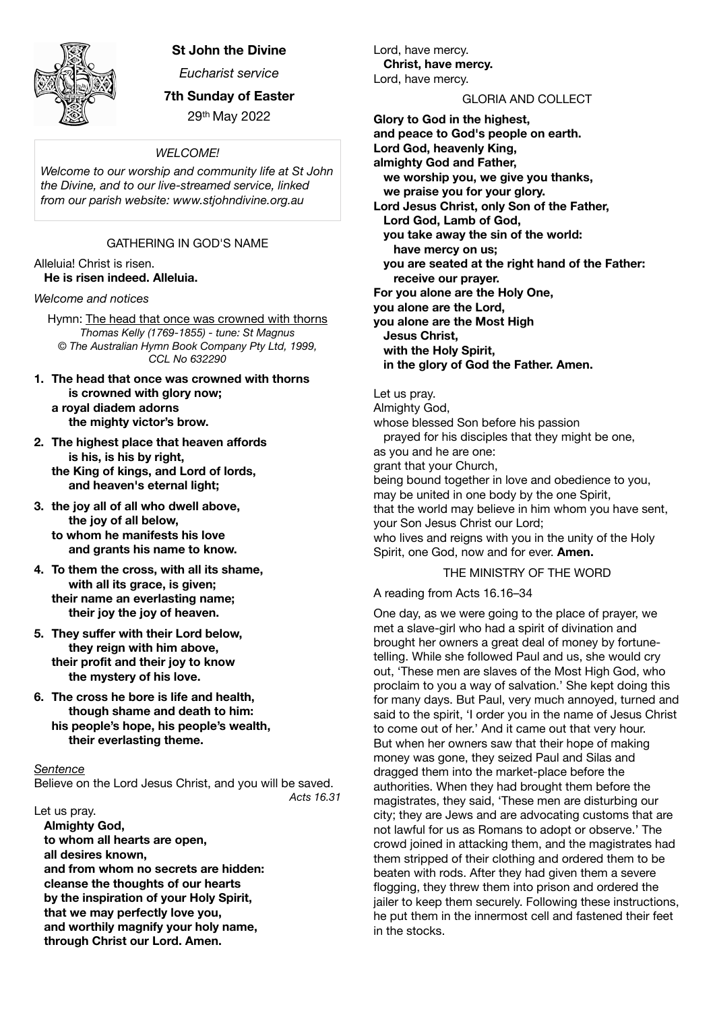

# **St John the Divine**

*Eucharist service* 

**7th Sunday of Easter** 

29th May 2022

### *WELCOME!*

*Welcome to our worship and community life at St John the Divine, and to our live-streamed service, linked from our parish website: www.stjohndivine.org.au* 

## GATHERING IN GOD'S NAME

Alleluia! Christ is risen. **He is risen indeed. Alleluia.**

*Welcome and notices* 

Hymn: The head that once was crowned with thorns *Thomas Kelly (1769-1855) - tune: St Magnus © The Australian Hymn Book Company Pty Ltd, 1999, CCL No 632290* 

- **1. The head that once was crowned with thorns is crowned with glory now; a royal diadem adorns the mighty victor's brow.**
- **2. The highest place that heaven affords is his, is his by right, the King of kings, and Lord of lords, and heaven's eternal light;**
- **3. the joy all of all who dwell above, the joy of all below, to whom he manifests his love and grants his name to know.**
- **4. To them the cross, with all its shame, with all its grace, is given; their name an everlasting name; their joy the joy of heaven.**
- **5. They suffer with their Lord below, they reign with him above, their profit and their joy to know the mystery of his love.**
- **6. The cross he bore is life and health, though shame and death to him: his people's hope, his people's wealth, their everlasting theme.**

#### *Sentence*

Believe on the Lord Jesus Christ, and you will be saved. *Acts 16.31* 

Let us pray.

 **Almighty God, to whom all hearts are open, all desires known, and from whom no secrets are hidden: cleanse the thoughts of our hearts by the inspiration of your Holy Spirit, that we may perfectly love you, and worthily magnify your holy name, through Christ our Lord. Amen.**

Lord, have mercy. **Christ, have mercy.** Lord, have mercy.

#### GLORIA AND COLLECT

**Glory to God in the highest, and peace to God's people on earth. Lord God, heavenly King, almighty God and Father, we worship you, we give you thanks, we praise you for your glory. Lord Jesus Christ, only Son of the Father, Lord God, Lamb of God, you take away the sin of the world: have mercy on us; you are seated at the right hand of the Father: receive our prayer. For you alone are the Holy One, you alone are the Lord, you alone are the Most High Jesus Christ, with the Holy Spirit, in the glory of God the Father. Amen.**  Let us pray. Almighty God, whose blessed Son before his passion prayed for his disciples that they might be one, as you and he are one:

grant that your Church,

being bound together in love and obedience to you, may be united in one body by the one Spirit, that the world may believe in him whom you have sent, your Son Jesus Christ our Lord; who lives and reigns with you in the unity of the Holy Spirit, one God, now and for ever. **Amen.**

## THE MINISTRY OF THE WORD

A reading from Acts 16.16–34

One day, as we were going to the place of prayer, we met a slave-girl who had a spirit of divination and brought her owners a great deal of money by fortunetelling. While she followed Paul and us, she would cry out, 'These men are slaves of the Most High God, who proclaim to you a way of salvation.' She kept doing this for many days. But Paul, very much annoyed, turned and said to the spirit, 'I order you in the name of Jesus Christ to come out of her.' And it came out that very hour. But when her owners saw that their hope of making money was gone, they seized Paul and Silas and dragged them into the market-place before the authorities. When they had brought them before the magistrates, they said, 'These men are disturbing our city; they are Jews and are advocating customs that are not lawful for us as Romans to adopt or observe.' The crowd joined in attacking them, and the magistrates had them stripped of their clothing and ordered them to be beaten with rods. After they had given them a severe flogging, they threw them into prison and ordered the iailer to keep them securely. Following these instructions, he put them in the innermost cell and fastened their feet in the stocks.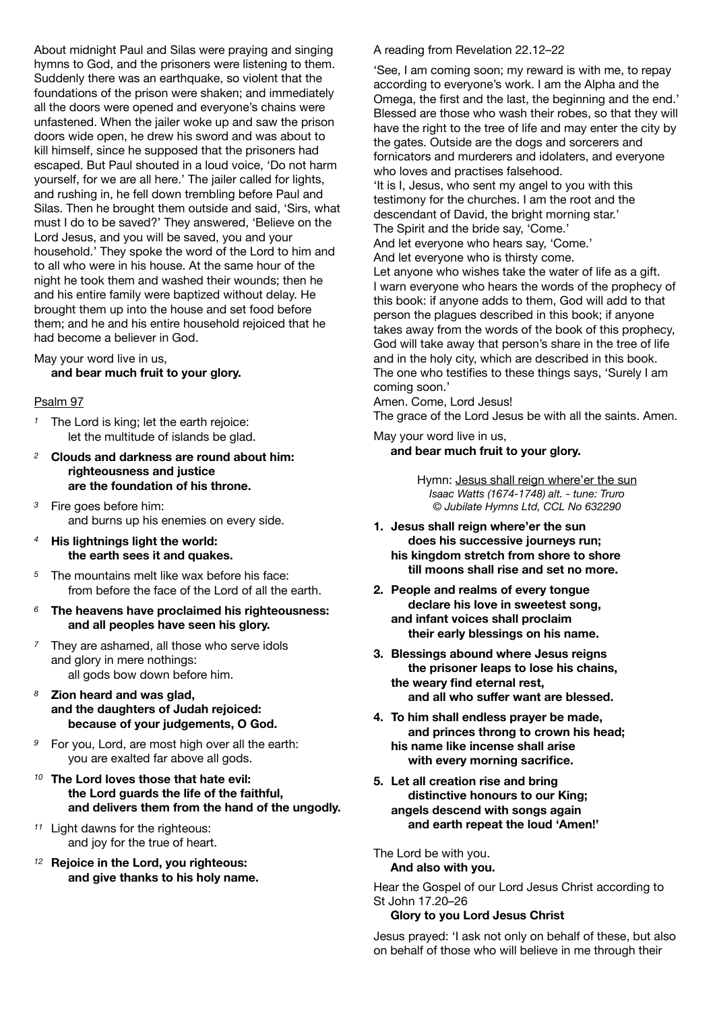About midnight Paul and Silas were praying and singing hymns to God, and the prisoners were listening to them. Suddenly there was an earthquake, so violent that the foundations of the prison were shaken; and immediately all the doors were opened and everyone's chains were unfastened. When the jailer woke up and saw the prison doors wide open, he drew his sword and was about to kill himself, since he supposed that the prisoners had escaped. But Paul shouted in a loud voice, 'Do not harm yourself, for we are all here.' The jailer called for lights, and rushing in, he fell down trembling before Paul and Silas. Then he brought them outside and said, 'Sirs, what must I do to be saved?' They answered, 'Believe on the Lord Jesus, and you will be saved, you and your household.' They spoke the word of the Lord to him and to all who were in his house. At the same hour of the night he took them and washed their wounds; then he and his entire family were baptized without delay. He brought them up into the house and set food before them; and he and his entire household rejoiced that he had become a believer in God.

# May your word live in us,

**and bear much fruit to your glory.** 

## Psalm 97

- *<sup>1</sup>* The Lord is king; let the earth rejoice: let the multitude of islands be glad.
- *<sup>2</sup>* **Clouds and darkness are round about him: righteousness and justice are the foundation of his throne.**
- *<sup>3</sup>* Fire goes before him: and burns up his enemies on every side.
- *<sup>4</sup>* **His lightnings light the world: the earth sees it and quakes.**
- *<sup>5</sup>* The mountains melt like wax before his face: from before the face of the Lord of all the earth.
- *<sup>6</sup>* **The heavens have proclaimed his righteousness: and all peoples have seen his glory.**
- *<sup>7</sup>* They are ashamed, all those who serve idols and glory in mere nothings: all gods bow down before him.
- *<sup>8</sup>* **Zion heard and was glad, and the daughters of Judah rejoiced: because of your judgements, O God.**
- *<sup>9</sup>* For you, Lord, are most high over all the earth: you are exalted far above all gods.
- *<sup>10</sup>* **The Lord loves those that hate evil: the Lord guards the life of the faithful, and delivers them from the hand of the ungodly.**
- *<sup>11</sup>* Light dawns for the righteous: and joy for the true of heart.
- *<sup>12</sup>* **Rejoice in the Lord, you righteous: and give thanks to his holy name.**

A reading from Revelation 22.12–22

'See, I am coming soon; my reward is with me, to repay according to everyone's work. I am the Alpha and the Omega, the first and the last, the beginning and the end.' Blessed are those who wash their robes, so that they will have the right to the tree of life and may enter the city by the gates. Outside are the dogs and sorcerers and fornicators and murderers and idolaters, and everyone who loves and practises falsehood.

'It is I, Jesus, who sent my angel to you with this testimony for the churches. I am the root and the descendant of David, the bright morning star.' The Spirit and the bride say, 'Come.'

And let everyone who hears say, 'Come.' And let everyone who is thirsty come.

Let anyone who wishes take the water of life as a gift. I warn everyone who hears the words of the prophecy of this book: if anyone adds to them, God will add to that person the plagues described in this book; if anyone takes away from the words of the book of this prophecy, God will take away that person's share in the tree of life and in the holy city, which are described in this book. The one who testifies to these things says, 'Surely I am coming soon.'

Amen. Come, Lord Jesus!

The grace of the Lord Jesus be with all the saints. Amen.

May your word live in us, **and bear much fruit to your glory.** 

> Hymn: Jesus shall reign where'er the sun *Isaac Watts (1674-1748) alt. - tune: Truro © Jubilate Hymns Ltd, CCL No 632290*

- **1. Jesus shall reign where'er the sun does his successive journeys run; his kingdom stretch from shore to shore till moons shall rise and set no more.**
- **2. People and realms of every tongue declare his love in sweetest song, and infant voices shall proclaim their early blessings on his name.**
- **3. Blessings abound where Jesus reigns the prisoner leaps to lose his chains, the weary find eternal rest,** and all who suffer want are blessed.
- **4. To him shall endless prayer be made, and princes throng to crown his head; his name like incense shall arise with every morning sacrifice.**
- **5. Let all creation rise and bring distinctive honours to our King; angels descend with songs again and earth repeat the loud 'Amen!'**

The Lord be with you. **And also with you.** 

Hear the Gospel of our Lord Jesus Christ according to St John 17.20–26

#### **Glory to you Lord Jesus Christ**

Jesus prayed: 'I ask not only on behalf of these, but also on behalf of those who will believe in me through their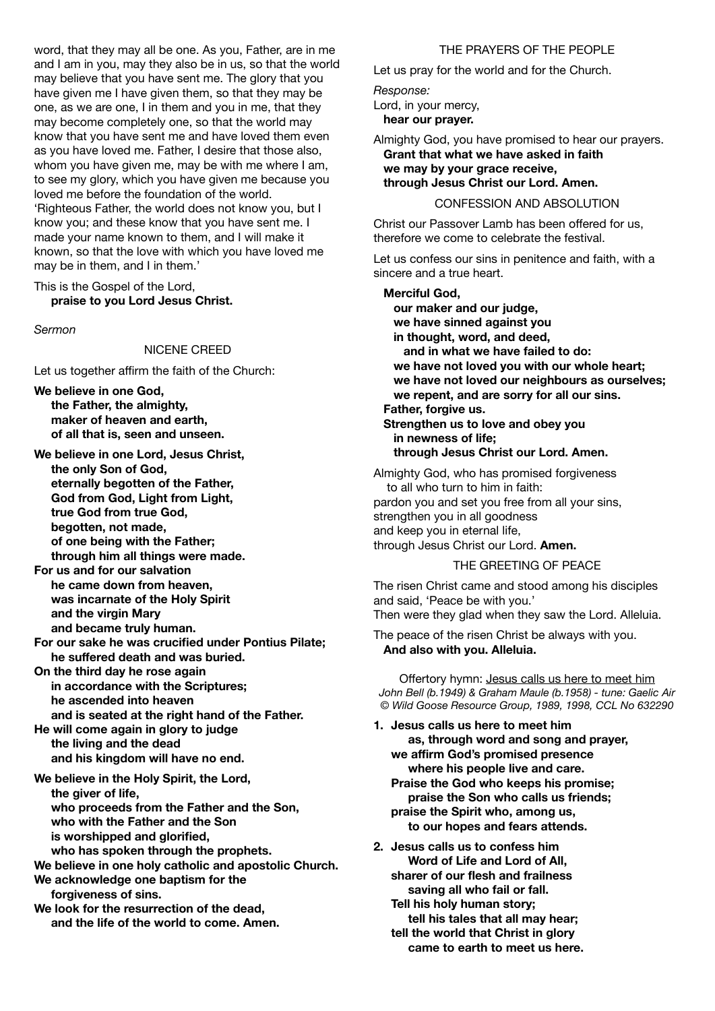word, that they may all be one. As you, Father, are in me and I am in you, may they also be in us, so that the world may believe that you have sent me. The glory that you have given me I have given them, so that they may be one, as we are one, I in them and you in me, that they may become completely one, so that the world may know that you have sent me and have loved them even as you have loved me. Father, I desire that those also, whom you have given me, may be with me where I am, to see my glory, which you have given me because you loved me before the foundation of the world. 'Righteous Father, the world does not know you, but I know you; and these know that you have sent me. I made your name known to them, and I will make it known, so that the love with which you have loved me may be in them, and I in them.'

This is the Gospel of the Lord, **praise to you Lord Jesus Christ.**

*Sermon* 

#### NICENE CREED

Let us together affirm the faith of the Church:

**We believe in one God, the Father, the almighty, maker of heaven and earth, of all that is, seen and unseen.**

**We believe in one Lord, Jesus Christ, the only Son of God, eternally begotten of the Father, God from God, Light from Light, true God from true God, begotten, not made, of one being with the Father; through him all things were made.**

**For us and for our salvation he came down from heaven, was incarnate of the Holy Spirit and the virgin Mary and became truly human.**

**For our sake he was crucified under Pontius Pilate; he suffered death and was buried.**

**On the third day he rose again in accordance with the Scriptures; he ascended into heaven and is seated at the right hand of the Father.**

**He will come again in glory to judge the living and the dead and his kingdom will have no end.**

**We believe in the Holy Spirit, the Lord, the giver of life, who proceeds from the Father and the Son, who with the Father and the Son is worshipped and glorified,**

**who has spoken through the prophets.**

**We believe in one holy catholic and apostolic Church. We acknowledge one baptism for the forgiveness of sins.**

**We look for the resurrection of the dead, and the life of the world to come. Amen.** 

#### THE PRAYERS OF THE PEOPLE

Let us pray for the world and for the Church.

*Response:* 

Lord, in your mercy,

 **hear our prayer.** 

Almighty God, you have promised to hear our prayers.  **Grant that what we have asked in faith we may by your grace receive, through Jesus Christ our Lord. Amen.** 

## CONFESSION AND ABSOLUTION

Christ our Passover Lamb has been offered for us, therefore we come to celebrate the festival.

Let us confess our sins in penitence and faith, with a sincere and a true heart.

## **Merciful God,**

 **our maker and our judge, we have sinned against you in thought, word, and deed, and in what we have failed to do: we have not loved you with our whole heart; we have not loved our neighbours as ourselves; we repent, and are sorry for all our sins. Father, forgive us. Strengthen us to love and obey you in newness of life; through Jesus Christ our Lord. Amen.** Almighty God, who has promised forgiveness to all who turn to him in faith: pardon you and set you free from all your sins, strengthen you in all goodness and keep you in eternal life,

through Jesus Christ our Lord. **Amen.**

#### THE GREETING OF PEACE

The risen Christ came and stood among his disciples and said, 'Peace be with you.' Then were they glad when they saw the Lord. Alleluia.

The peace of the risen Christ be always with you.  **And also with you. Alleluia.** 

Offertory hymn: Jesus calls us here to meet him *John Bell (b.1949) & Graham Maule (b.1958) - tune: Gaelic Air © Wild Goose Resource Group, 1989, 1998, CCL No 632290* 

- **1. Jesus calls us here to meet him as, through word and song and prayer, we affirm God's promised presence where his people live and care. Praise the God who keeps his promise; praise the Son who calls us friends;** 
	- **praise the Spirit who, among us, to our hopes and fears attends.**
- **2. Jesus calls us to confess him Word of Life and Lord of All, sharer of our flesh and frailness saving all who fail or fall.** 
	- **Tell his holy human story; tell his tales that all may hear; tell the world that Christ in glory came to earth to meet us here.**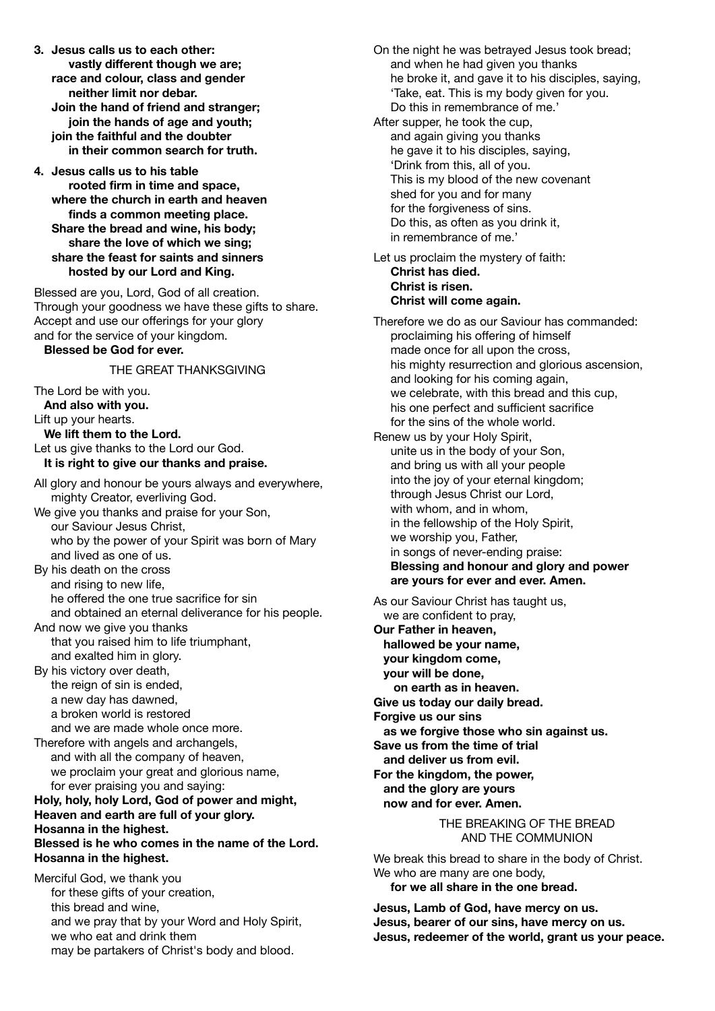- **3. Jesus calls us to each other: vastly different though we are; race and colour, class and gender neither limit nor debar. Join the hand of friend and stranger; join the hands of age and youth; join the faithful and the doubter in their common search for truth.**
- **4. Jesus calls us to his table rooted firm in time and space, where the church in earth and heaven finds a common meeting place. Share the bread and wine, his body; share the love of which we sing; share the feast for saints and sinners hosted by our Lord and King.**

Blessed are you, Lord, God of all creation. Through your goodness we have these gifts to share. Accept and use our offerings for your glory and for the service of your kingdom.  **Blessed be God for ever.** 

## THE GREAT THANKSGIVING

The Lord be with you.  **And also with you.** Lift up your hearts.  **We lift them to the Lord.** Let us give thanks to the Lord our God.  **It is right to give our thanks and praise.**

- All glory and honour be yours always and everywhere, mighty Creator, everliving God. We give you thanks and praise for your Son, our Saviour Jesus Christ, who by the power of your Spirit was born of Mary and lived as one of us.
- By his death on the cross and rising to new life, he offered the one true sacrifice for sin and obtained an eternal deliverance for his people.
- And now we give you thanks that you raised him to life triumphant, and exalted him in glory.
- By his victory over death, the reign of sin is ended, a new day has dawned, a broken world is restored and we are made whole once more.
- Therefore with angels and archangels, and with all the company of heaven, we proclaim your great and glorious name, for ever praising you and saying:

## **Holy, holy, holy Lord, God of power and might, Heaven and earth are full of your glory. Hosanna in the highest.**

## **Blessed is he who comes in the name of the Lord. Hosanna in the highest.**

Merciful God, we thank you for these gifts of your creation, this bread and wine, and we pray that by your Word and Holy Spirit, we who eat and drink them may be partakers of Christ's body and blood.

On the night he was betrayed Jesus took bread; and when he had given you thanks he broke it, and gave it to his disciples, saying, 'Take, eat. This is my body given for you. Do this in remembrance of me.'

- After supper, he took the cup, and again giving you thanks he gave it to his disciples, saying, 'Drink from this, all of you. This is my blood of the new covenant shed for you and for many for the forgiveness of sins. Do this, as often as you drink it, in remembrance of me.'
- Let us proclaim the mystery of faith: **Christ has died. Christ is risen. Christ will come again.**

Therefore we do as our Saviour has commanded: proclaiming his offering of himself made once for all upon the cross, his mighty resurrection and glorious ascension, and looking for his coming again, we celebrate, with this bread and this cup, his one perfect and sufficient sacrifice for the sins of the whole world. Renew us by your Holy Spirit, unite us in the body of your Son, and bring us with all your people into the joy of your eternal kingdom; through Jesus Christ our Lord, with whom, and in whom, in the fellowship of the Holy Spirit, we worship you, Father, in songs of never-ending praise: **Blessing and honour and glory and power are yours for ever and ever. Amen.** As our Saviour Christ has taught us,

 we are confident to pray, **Our Father in heaven, hallowed be your name, your kingdom come, your will be done, on earth as in heaven. Give us today our daily bread. Forgive us our sins as we forgive those who sin against us. Save us from the time of trial and deliver us from evil. For the kingdom, the power, and the glory are yours now and for ever. Amen.** 

> THE BREAKING OF THE BREAD AND THE COMMUNION

We break this bread to share in the body of Christ. We who are many are one body. **for we all share in the one bread.** 

**Jesus, Lamb of God, have mercy on us. Jesus, bearer of our sins, have mercy on us. Jesus, redeemer of the world, grant us your peace.**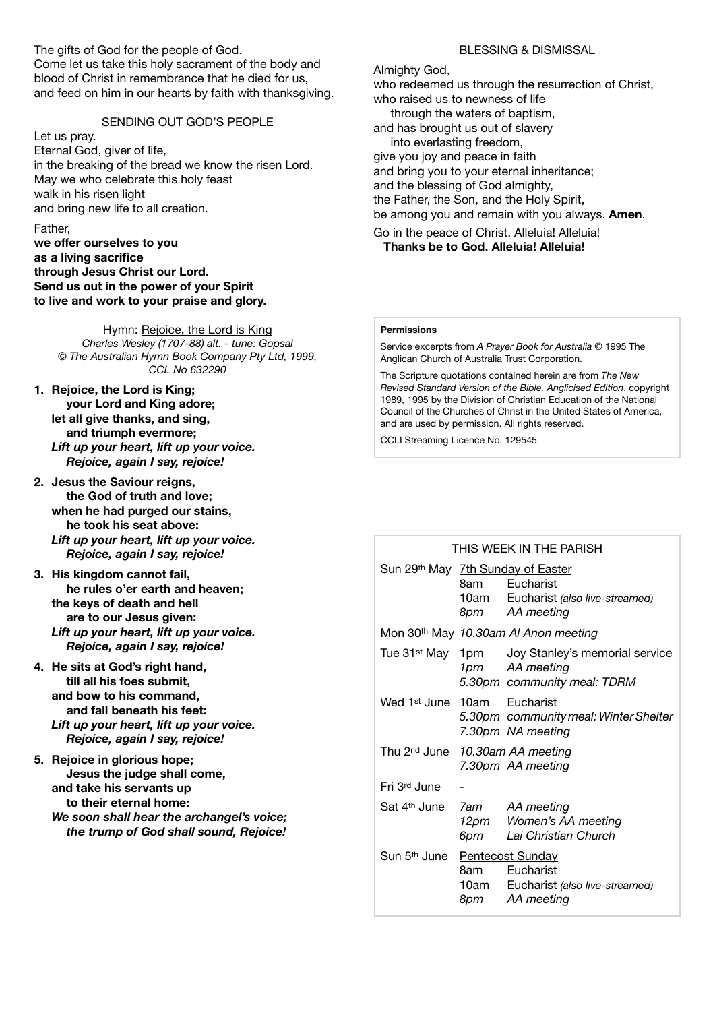The gifts of God for the people of God. Come let us take this holy sacrament of the body and blood of Christ in remembrance that he died for us, and feed on him in our hearts by faith with thanksgiving.

#### SENDING OUT GOD'S PEOPLE

Let us pray.

Eternal God, giver of life, in the breaking of the bread we know the risen Lord. May we who celebrate this holy feast walk in his risen light and bring new life to all creation.

#### Father,

**we offer ourselves to you as a living sacrifice through Jesus Christ our Lord. Send us out in the power of your Spirit to live and work to your praise and glory.** 

Hymn: Rejoice, the Lord is King *Charles Wesley (1707-88) alt. - tune: Gopsal © The Australian Hymn Book Company Pty Ltd, 1999, CCL No 632290* 

- **1. Rejoice, the Lord is King; your Lord and King adore; let all give thanks, and sing, and triumph evermore;**  *Lift up your heart, lift up your voice. Rejoice, again I say, rejoice!*
- **2. Jesus the Saviour reigns, the God of truth and love; when he had purged our stains, he took his seat above:**  *Lift up your heart, lift up your voice. Rejoice, again I say, rejoice!*
- **3. His kingdom cannot fail, he rules o'er earth and heaven; the keys of death and hell are to our Jesus given:**  *Lift up your heart, lift up your voice. Rejoice, again I say, rejoice!*
- **4. He sits at God's right hand, till all his foes submit, and bow to his command, and fall beneath his feet:**  *Lift up your heart, lift up your voice. Rejoice, again I say, rejoice!*

**5. Rejoice in glorious hope; Jesus the judge shall come, and take his servants up to their eternal home:**  *We soon shall hear the archangel's voice; the trump of God shall sound, Rejoice!* 

## BLESSING & DISMISSAL

Almighty God,

who redeemed us through the resurrection of Christ, who raised us to newness of life through the waters of baptism, and has brought us out of slavery into everlasting freedom, give you joy and peace in faith and bring you to your eternal inheritance; and the blessing of God almighty, the Father, the Son, and the Holy Spirit, be among you and remain with you always. **Amen**. Go in the peace of Christ. Alleluia! Alleluia!

**Thanks be to God. Alleluia! Alleluia!** 

#### **Permissions**

Service excerpts from *A Prayer Book for Australia* © 1995 The Anglican Church of Australia Trust Corporation.

The Scripture quotations contained herein are from *The New Revised Standard Version of the Bible, Anglicised Edition*, copyright 1989, 1995 by the Division of Christian Education of the National Council of the Churches of Christ in the United States of America, and are used by permission. All rights reserved.

CCLI Streaming Licence No. 129545

#### THIS WEEK IN THE PARISH

|                                             | Sun 29th May 7th Sunday of Easter                |                                                             |
|---------------------------------------------|--------------------------------------------------|-------------------------------------------------------------|
|                                             |                                                  | 8am Eucharist                                               |
|                                             |                                                  | 10am Eucharist (also live-streamed)                         |
|                                             |                                                  | 8pm AA meeting                                              |
|                                             | Mon 30 <sup>th</sup> May 10.30am AI Anon meeting |                                                             |
|                                             |                                                  | Tue 31 <sup>st</sup> May 1pm Joy Stanley's memorial service |
|                                             |                                                  | 1pm AA meeting                                              |
|                                             |                                                  | 5.30pm community meal: TDRM                                 |
| Wed 1 <sup>st</sup> June 10am Eucharist     |                                                  |                                                             |
|                                             |                                                  | 5.30pm community meal: Winter Shelter                       |
|                                             |                                                  | 7.30pm NA meeting                                           |
| Thu 2 <sup>nd</sup> June 10.30am AA meeting |                                                  |                                                             |
|                                             |                                                  | 7.30pm AA meeting                                           |
| Fri 3rd June                                |                                                  |                                                             |
| Sat 4 <sup>th</sup> June 7am AA meeting     |                                                  |                                                             |
|                                             |                                                  | 12pm Women's AA meeting                                     |
|                                             |                                                  | 6pm Lai Christian Church                                    |
|                                             | Sun 5th June Pentecost Sunday                    |                                                             |
|                                             |                                                  | 8am Eucharist                                               |
|                                             |                                                  | 10am Eucharist (also live-streamed)                         |
|                                             |                                                  | 8pm AA meeting                                              |
|                                             |                                                  |                                                             |